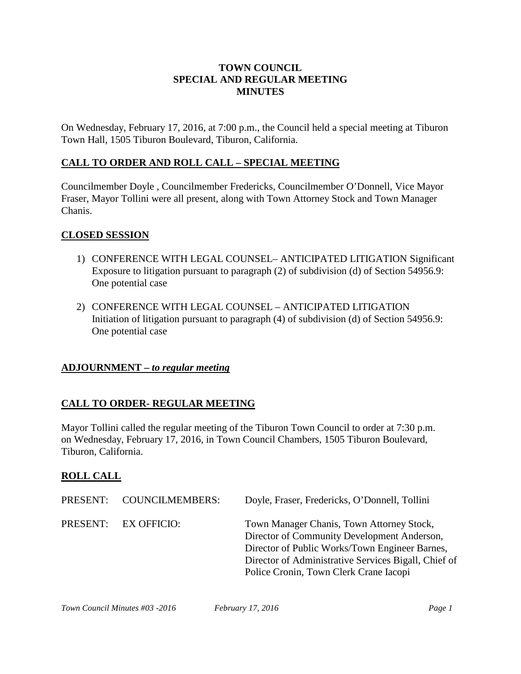### **TOWN COUNCIL SPECIAL AND REGULAR MEETING MINUTES**

On Wednesday, February 17, 2016, at 7:00 p.m., the Council held a special meeting at Tiburon Town Hall, 1505 Tiburon Boulevard, Tiburon, California.

### **CALL TO ORDER AND ROLL CALL – SPECIAL MEETING**

Councilmember Doyle , Councilmember Fredericks, Councilmember O'Donnell, Vice Mayor Fraser, Mayor Tollini were all present, along with Town Attorney Stock and Town Manager Chanis.

#### **CLOSED SESSION**

- 1) CONFERENCE WITH LEGAL COUNSEL– ANTICIPATED LITIGATION Significant Exposure to litigation pursuant to paragraph (2) of subdivision (d) of Section 54956.9: One potential case
- 2) CONFERENCE WITH LEGAL COUNSEL ANTICIPATED LITIGATION Initiation of litigation pursuant to paragraph (4) of subdivision (d) of Section 54956.9: One potential case

### **ADJOURNMENT –** *to regular meeting*

### **CALL TO ORDER- REGULAR MEETING**

Mayor Tollini called the regular meeting of the Tiburon Town Council to order at 7:30 p.m. on Wednesday, February 17, 2016, in Town Council Chambers, 1505 Tiburon Boulevard, Tiburon, California.

### **ROLL CALL**

| PRESENT: COUNCILMEMBERS: | Doyle, Fraser, Fredericks, O'Donnell, Tollini                                                                                                                                                                                                |
|--------------------------|----------------------------------------------------------------------------------------------------------------------------------------------------------------------------------------------------------------------------------------------|
| PRESENT: EX OFFICIO:     | Town Manager Chanis, Town Attorney Stock,<br>Director of Community Development Anderson,<br>Director of Public Works/Town Engineer Barnes,<br>Director of Administrative Services Bigall, Chief of<br>Police Cronin, Town Clerk Crane Iacopi |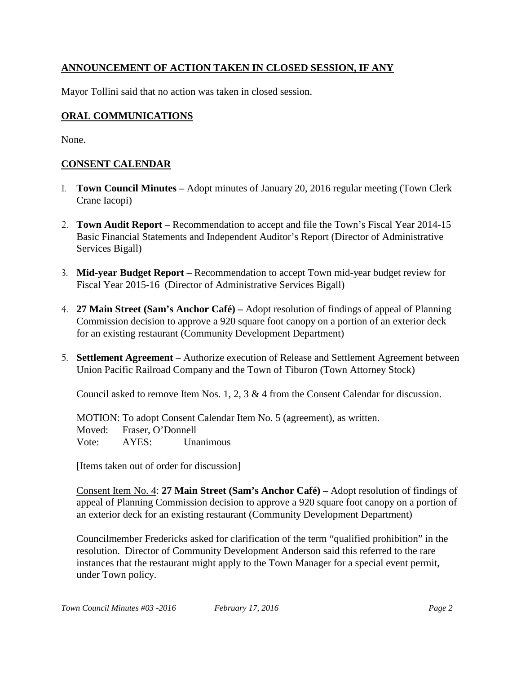# **ANNOUNCEMENT OF ACTION TAKEN IN CLOSED SESSION, IF ANY**

Mayor Tollini said that no action was taken in closed session.

## **ORAL COMMUNICATIONS**

None.

# **CONSENT CALENDAR**

- 1. **Town Council Minutes –** Adopt minutes of January 20, 2016 regular meeting (Town Clerk Crane Iacopi)
- 2. **Town Audit Report**  Recommendation to accept and file the Town's Fiscal Year 2014-15 Basic Financial Statements and Independent Auditor's Report (Director of Administrative Services Bigall)
- 3. **Mid-year Budget Report**  Recommendation to accept Town mid-year budget review for Fiscal Year 2015-16 (Director of Administrative Services Bigall)
- 4. **27 Main Street (Sam's Anchor Café) –** Adopt resolution of findings of appeal of Planning Commission decision to approve a 920 square foot canopy on a portion of an exterior deck for an existing restaurant (Community Development Department)
- 5. **Settlement Agreement**  Authorize execution of Release and Settlement Agreement between Union Pacific Railroad Company and the Town of Tiburon (Town Attorney Stock)

Council asked to remove Item Nos. 1, 2, 3 & 4 from the Consent Calendar for discussion.

MOTION: To adopt Consent Calendar Item No. 5 (agreement), as written. Moved: Fraser, O'Donnell Vote: AYES: Unanimous

[Items taken out of order for discussion]

Consent Item No. 4: **27 Main Street (Sam's Anchor Café) –** Adopt resolution of findings of appeal of Planning Commission decision to approve a 920 square foot canopy on a portion of an exterior deck for an existing restaurant (Community Development Department)

Councilmember Fredericks asked for clarification of the term "qualified prohibition" in the resolution. Director of Community Development Anderson said this referred to the rare instances that the restaurant might apply to the Town Manager for a special event permit, under Town policy.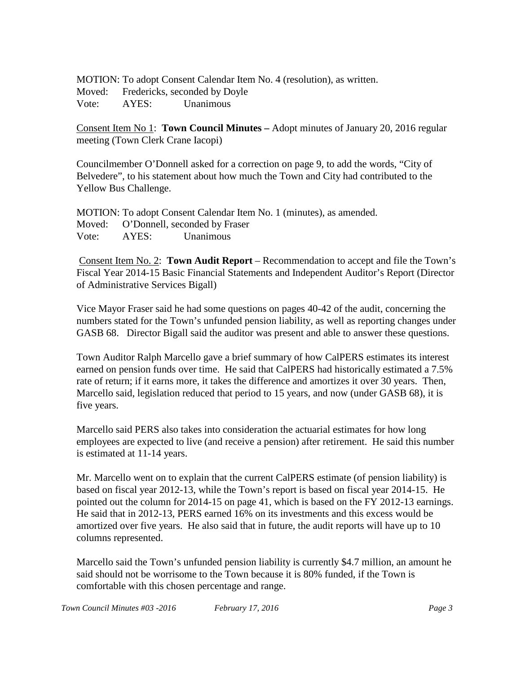MOTION: To adopt Consent Calendar Item No. 4 (resolution), as written. Moved: Fredericks, seconded by Doyle Vote: AYES: Unanimous

Consent Item No 1: **Town Council Minutes –** Adopt minutes of January 20, 2016 regular meeting (Town Clerk Crane Iacopi)

Councilmember O'Donnell asked for a correction on page 9, to add the words, "City of Belvedere", to his statement about how much the Town and City had contributed to the Yellow Bus Challenge.

MOTION: To adopt Consent Calendar Item No. 1 (minutes), as amended. Moved: O'Donnell, seconded by Fraser Vote: AYES: Unanimous

Consent Item No. 2: **Town Audit Report** – Recommendation to accept and file the Town's Fiscal Year 2014-15 Basic Financial Statements and Independent Auditor's Report (Director of Administrative Services Bigall)

Vice Mayor Fraser said he had some questions on pages 40-42 of the audit, concerning the numbers stated for the Town's unfunded pension liability, as well as reporting changes under GASB 68. Director Bigall said the auditor was present and able to answer these questions.

Town Auditor Ralph Marcello gave a brief summary of how CalPERS estimates its interest earned on pension funds over time. He said that CalPERS had historically estimated a 7.5% rate of return; if it earns more, it takes the difference and amortizes it over 30 years. Then, Marcello said, legislation reduced that period to 15 years, and now (under GASB 68), it is five years.

Marcello said PERS also takes into consideration the actuarial estimates for how long employees are expected to live (and receive a pension) after retirement. He said this number is estimated at 11-14 years.

Mr. Marcello went on to explain that the current CalPERS estimate (of pension liability) is based on fiscal year 2012-13, while the Town's report is based on fiscal year 2014-15. He pointed out the column for 2014-15 on page 41, which is based on the FY 2012-13 earnings. He said that in 2012-13, PERS earned 16% on its investments and this excess would be amortized over five years. He also said that in future, the audit reports will have up to 10 columns represented.

Marcello said the Town's unfunded pension liability is currently \$4.7 million, an amount he said should not be worrisome to the Town because it is 80% funded, if the Town is comfortable with this chosen percentage and range.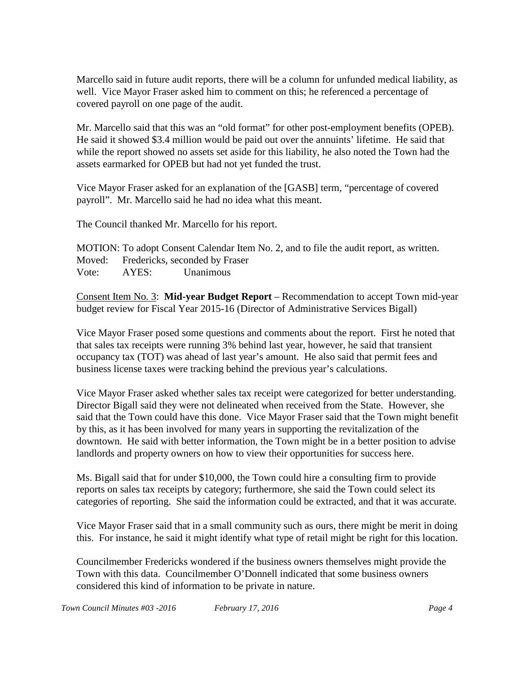Marcello said in future audit reports, there will be a column for unfunded medical liability, as well. Vice Mayor Fraser asked him to comment on this; he referenced a percentage of covered payroll on one page of the audit.

Mr. Marcello said that this was an "old format" for other post-employment benefits (OPEB). He said it showed \$3.4 million would be paid out over the annuints' lifetime. He said that while the report showed no assets set aside for this liability, he also noted the Town had the assets earmarked for OPEB but had not yet funded the trust.

Vice Mayor Fraser asked for an explanation of the [GASB] term, "percentage of covered payroll". Mr. Marcello said he had no idea what this meant.

The Council thanked Mr. Marcello for his report.

MOTION: To adopt Consent Calendar Item No. 2, and to file the audit report, as written. Moved: Fredericks, seconded by Fraser Vote: AYES: Unanimous

Consent Item No. 3: **Mid-year Budget Report** – Recommendation to accept Town mid-year budget review for Fiscal Year 2015-16 (Director of Administrative Services Bigall)

Vice Mayor Fraser posed some questions and comments about the report. First he noted that that sales tax receipts were running 3% behind last year, however, he said that transient occupancy tax (TOT) was ahead of last year's amount. He also said that permit fees and business license taxes were tracking behind the previous year's calculations.

Vice Mayor Fraser asked whether sales tax receipt were categorized for better understanding. Director Bigall said they were not delineated when received from the State. However, she said that the Town could have this done. Vice Mayor Fraser said that the Town might benefit by this, as it has been involved for many years in supporting the revitalization of the downtown. He said with better information, the Town might be in a better position to advise landlords and property owners on how to view their opportunities for success here.

Ms. Bigall said that for under \$10,000, the Town could hire a consulting firm to provide reports on sales tax receipts by category; furthermore, she said the Town could select its categories of reporting. She said the information could be extracted, and that it was accurate.

Vice Mayor Fraser said that in a small community such as ours, there might be merit in doing this. For instance, he said it might identify what type of retail might be right for this location.

Councilmember Fredericks wondered if the business owners themselves might provide the Town with this data. Councilmember O'Donnell indicated that some business owners considered this kind of information to be private in nature.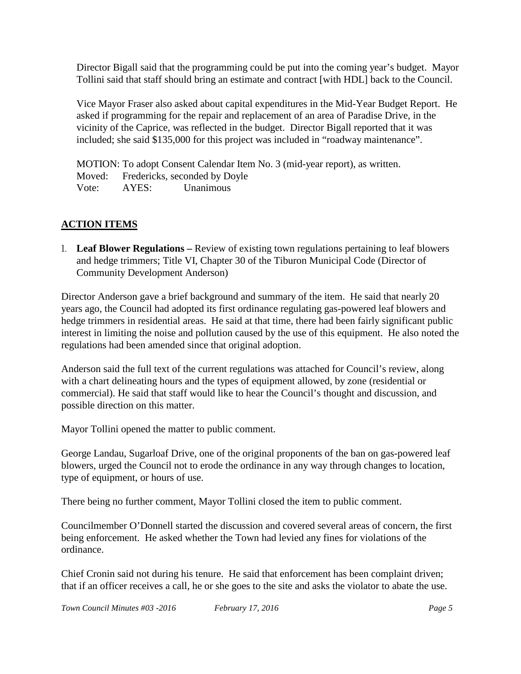Director Bigall said that the programming could be put into the coming year's budget. Mayor Tollini said that staff should bring an estimate and contract [with HDL] back to the Council.

Vice Mayor Fraser also asked about capital expenditures in the Mid-Year Budget Report. He asked if programming for the repair and replacement of an area of Paradise Drive, in the vicinity of the Caprice, was reflected in the budget. Director Bigall reported that it was included; she said \$135,000 for this project was included in "roadway maintenance".

MOTION: To adopt Consent Calendar Item No. 3 (mid-year report), as written. Moved: Fredericks, seconded by Doyle Vote: AYES: Unanimous

# **ACTION ITEMS**

1. **Leaf Blower Regulations –** Review of existing town regulations pertaining to leaf blowers and hedge trimmers; Title VI, Chapter 30 of the Tiburon Municipal Code (Director of Community Development Anderson)

Director Anderson gave a brief background and summary of the item. He said that nearly 20 years ago, the Council had adopted its first ordinance regulating gas-powered leaf blowers and hedge trimmers in residential areas. He said at that time, there had been fairly significant public interest in limiting the noise and pollution caused by the use of this equipment. He also noted the regulations had been amended since that original adoption.

Anderson said the full text of the current regulations was attached for Council's review, along with a chart delineating hours and the types of equipment allowed, by zone (residential or commercial). He said that staff would like to hear the Council's thought and discussion, and possible direction on this matter.

Mayor Tollini opened the matter to public comment.

George Landau, Sugarloaf Drive, one of the original proponents of the ban on gas-powered leaf blowers, urged the Council not to erode the ordinance in any way through changes to location, type of equipment, or hours of use.

There being no further comment, Mayor Tollini closed the item to public comment.

Councilmember O'Donnell started the discussion and covered several areas of concern, the first being enforcement. He asked whether the Town had levied any fines for violations of the ordinance.

Chief Cronin said not during his tenure. He said that enforcement has been complaint driven; that if an officer receives a call, he or she goes to the site and asks the violator to abate the use.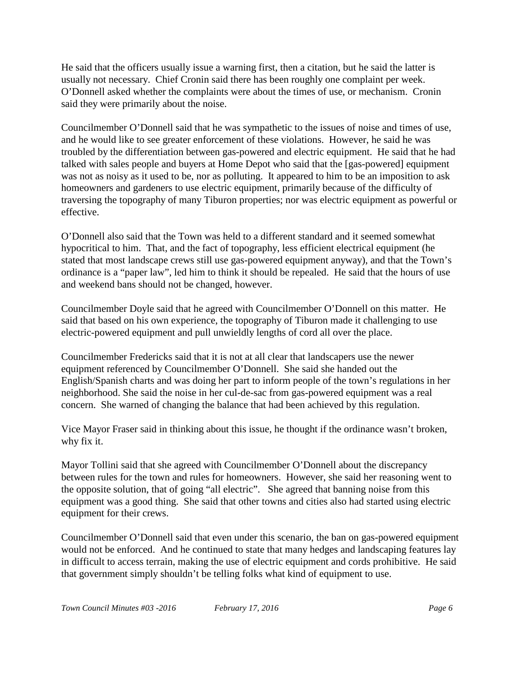He said that the officers usually issue a warning first, then a citation, but he said the latter is usually not necessary. Chief Cronin said there has been roughly one complaint per week. O'Donnell asked whether the complaints were about the times of use, or mechanism. Cronin said they were primarily about the noise.

Councilmember O'Donnell said that he was sympathetic to the issues of noise and times of use, and he would like to see greater enforcement of these violations. However, he said he was troubled by the differentiation between gas-powered and electric equipment. He said that he had talked with sales people and buyers at Home Depot who said that the [gas-powered] equipment was not as noisy as it used to be, nor as polluting. It appeared to him to be an imposition to ask homeowners and gardeners to use electric equipment, primarily because of the difficulty of traversing the topography of many Tiburon properties; nor was electric equipment as powerful or effective.

O'Donnell also said that the Town was held to a different standard and it seemed somewhat hypocritical to him. That, and the fact of topography, less efficient electrical equipment (he stated that most landscape crews still use gas-powered equipment anyway), and that the Town's ordinance is a "paper law", led him to think it should be repealed. He said that the hours of use and weekend bans should not be changed, however.

Councilmember Doyle said that he agreed with Councilmember O'Donnell on this matter. He said that based on his own experience, the topography of Tiburon made it challenging to use electric-powered equipment and pull unwieldly lengths of cord all over the place.

Councilmember Fredericks said that it is not at all clear that landscapers use the newer equipment referenced by Councilmember O'Donnell. She said she handed out the English/Spanish charts and was doing her part to inform people of the town's regulations in her neighborhood. She said the noise in her cul-de-sac from gas-powered equipment was a real concern. She warned of changing the balance that had been achieved by this regulation.

Vice Mayor Fraser said in thinking about this issue, he thought if the ordinance wasn't broken, why fix it.

Mayor Tollini said that she agreed with Councilmember O'Donnell about the discrepancy between rules for the town and rules for homeowners. However, she said her reasoning went to the opposite solution, that of going "all electric". She agreed that banning noise from this equipment was a good thing. She said that other towns and cities also had started using electric equipment for their crews.

Councilmember O'Donnell said that even under this scenario, the ban on gas-powered equipment would not be enforced. And he continued to state that many hedges and landscaping features lay in difficult to access terrain, making the use of electric equipment and cords prohibitive. He said that government simply shouldn't be telling folks what kind of equipment to use.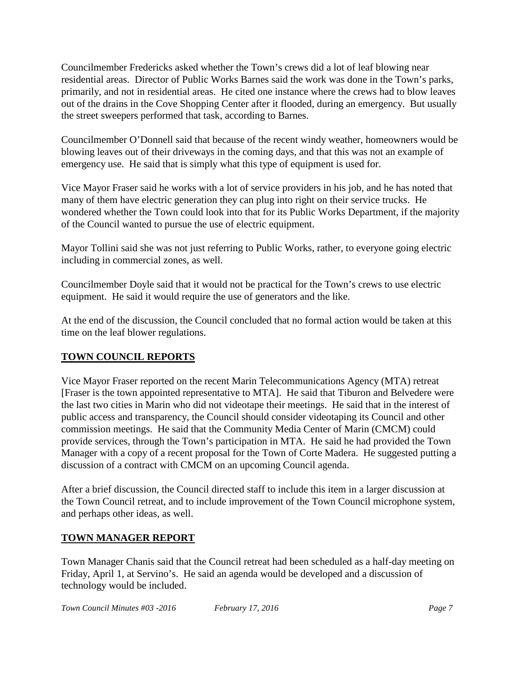Councilmember Fredericks asked whether the Town's crews did a lot of leaf blowing near residential areas. Director of Public Works Barnes said the work was done in the Town's parks, primarily, and not in residential areas. He cited one instance where the crews had to blow leaves out of the drains in the Cove Shopping Center after it flooded, during an emergency. But usually the street sweepers performed that task, according to Barnes.

Councilmember O'Donnell said that because of the recent windy weather, homeowners would be blowing leaves out of their driveways in the coming days, and that this was not an example of emergency use. He said that is simply what this type of equipment is used for.

Vice Mayor Fraser said he works with a lot of service providers in his job, and he has noted that many of them have electric generation they can plug into right on their service trucks. He wondered whether the Town could look into that for its Public Works Department, if the majority of the Council wanted to pursue the use of electric equipment.

Mayor Tollini said she was not just referring to Public Works, rather, to everyone going electric including in commercial zones, as well.

Councilmember Doyle said that it would not be practical for the Town's crews to use electric equipment. He said it would require the use of generators and the like.

At the end of the discussion, the Council concluded that no formal action would be taken at this time on the leaf blower regulations.

## **TOWN COUNCIL REPORTS**

Vice Mayor Fraser reported on the recent Marin Telecommunications Agency (MTA) retreat [Fraser is the town appointed representative to MTA]. He said that Tiburon and Belvedere were the last two cities in Marin who did not videotape their meetings. He said that in the interest of public access and transparency, the Council should consider videotaping its Council and other commission meetings. He said that the Community Media Center of Marin (CMCM) could provide services, through the Town's participation in MTA. He said he had provided the Town Manager with a copy of a recent proposal for the Town of Corte Madera. He suggested putting a discussion of a contract with CMCM on an upcoming Council agenda.

After a brief discussion, the Council directed staff to include this item in a larger discussion at the Town Council retreat, and to include improvement of the Town Council microphone system, and perhaps other ideas, as well.

### **TOWN MANAGER REPORT**

Town Manager Chanis said that the Council retreat had been scheduled as a half-day meeting on Friday, April 1, at Servino's. He said an agenda would be developed and a discussion of technology would be included.

*Town Council Minutes #03 -2016 February 17, 2016 Page 7*